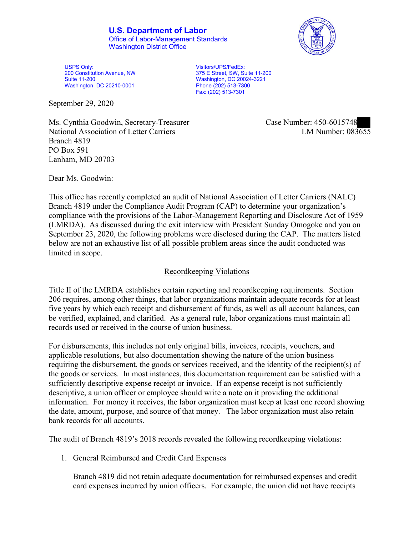**U.S. Department of Labor** Office of Labor-Management Standards Washington District Office



USPS Only: 200 Constitution Avenue, NW Suite 11-200 Washington, DC 20210-0001

 375 E Street, SW, Suite 11-200 Visitors/UPS/FedEx: Washington, DC 20024-3221 Phone (202) 513-7300 Fax: (202) 513-7301

September 29, 2020

Ms. Cynthia Goodwin, Secretary-Treasurer National Association of Letter Carriers Branch 4819 PO Box 591 Lanham, MD 20703

Case Number: 450-6015748<br>
LM Number: 083655

Dear Ms. Goodwin:

 This office has recently completed an audit of National Association of Letter Carriers (NALC) Branch 4819 under the Compliance Audit Program (CAP) to determine your organization's compliance with the provisions of the Labor-Management Reporting and Disclosure Act of 1959 (LMRDA). As discussed during the exit interview with President Sunday Omogoke and you on September 23, 2020, the following problems were disclosed during the CAP. The matters listed below are not an exhaustive list of all possible problem areas since the audit conducted was limited in scope.

## Recordkeeping Violations

 Title II of the LMRDA establishes certain reporting and recordkeeping requirements. Section 206 requires, among other things, that labor organizations maintain adequate records for at least five years by which each receipt and disbursement of funds, as well as all account balances, can be verified, explained, and clarified. As a general rule, labor organizations must maintain all records used or received in the course of union business.

For disbursements, this includes not only original bills, invoices, receipts, vouchers, and applicable resolutions, but also documentation showing the nature of the union business requiring the disbursement, the goods or services received, and the identity of the recipient(s) of the goods or services. In most instances, this documentation requirement can be satisfied with a sufficiently descriptive expense receipt or invoice. If an expense receipt is not sufficiently descriptive, a union officer or employee should write a note on it providing the additional information. For money it receives, the labor organization must keep at least one record showing the date, amount, purpose, and source of that money. The labor organization must also retain bank records for all accounts.

The audit of Branch 4819's 2018 records revealed the following recordkeeping violations:

1. General Reimbursed and Credit Card Expenses

Branch 4819 did not retain adequate documentation for reimbursed expenses and credit card expenses incurred by union officers. For example, the union did not have receipts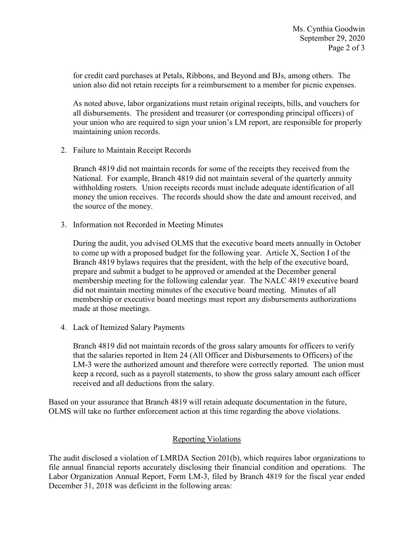union also did not retain receipts for a reimbursement to a member for picnic expenses. for credit card purchases at Petals, Ribbons, and Beyond and BJs, among others. The

 all disbursements. The president and treasurer (or corresponding principal officers) of As noted above, labor organizations must retain original receipts, bills, and vouchers for your union who are required to sign your union's LM report, are responsible for properly maintaining union records.

2. Failure to Maintain Receipt Records

Branch 4819 did not maintain records for some of the receipts they received from the National. For example, Branch 4819 did not maintain several of the quarterly annuity withholding rosters. Union receipts records must include adequate identification of all money the union receives. The records should show the date and amount received, and the source of the money.

3. Information not Recorded in Meeting Minutes

 to come up with a proposed budget for the following year. Article X, Section I of the prepare and submit a budget to be approved or amended at the December general During the audit, you advised OLMS that the executive board meets annually in October Branch 4819 bylaws requires that the president, with the help of the executive board, membership meeting for the following calendar year. The NALC 4819 executive board did not maintain meeting minutes of the executive board meeting. Minutes of all membership or executive board meetings must report any disbursements authorizations made at those meetings.

4. Lack of Itemized Salary Payments

 Branch 4819 did not maintain records of the gross salary amounts for officers to verify that the salaries reported in Item 24 (All Officer and Disbursements to Officers) of the LM-3 were the authorized amount and therefore were correctly reported. The union must keep a record, such as a payroll statements, to show the gross salary amount each officer received and all deductions from the salary.

Based on your assurance that Branch 4819 will retain adequate documentation in the future, OLMS will take no further enforcement action at this time regarding the above violations.

## Reporting Violations

The audit disclosed a violation of LMRDA Section 201(b), which requires labor organizations to file annual financial reports accurately disclosing their financial condition and operations. The Labor Organization Annual Report, Form LM-3, filed by Branch 4819 for the fiscal year ended December 31, 2018 was deficient in the following areas: